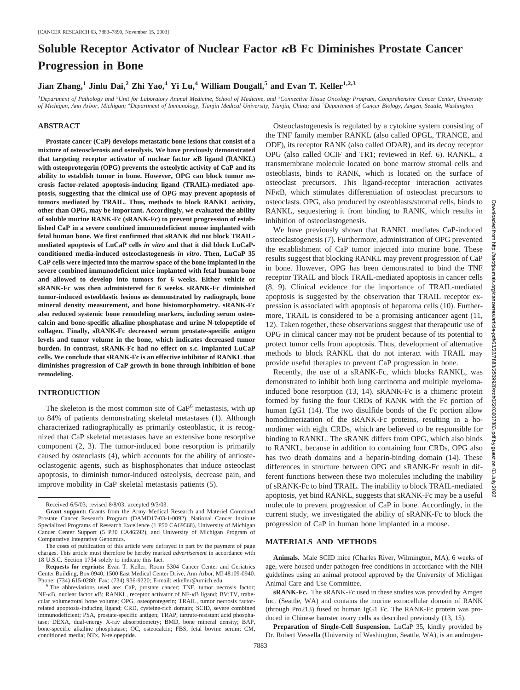# **Soluble Receptor Activator of Nuclear Factor**  $\kappa$ **B Fc Diminishes Prostate Cancer Progression in Bone**

**Jian Zhang,**<sup>1</sup> **Jinlu Dai,**<sup>2</sup> **Zhi Yao,**<sup>4</sup> **Yi Lu,**<sup>4</sup> **William Dougall**,<sup>5</sup> and Evan T. Keller<sup>1,2,3</sup>

*1 Department of Pathology and <sup>2</sup> Unit for Laboratory Animal Medicine, School of Medicine, and <sup>3</sup> Connective Tissue Oncology Program, Comprehensive Cancer Center, University of Michigan, Ann Arbor, Michigan; <sup>4</sup> Department of Immunology, Tianjin Medical University, Tianjin, China; and <sup>5</sup> Department of Cancer Biology, Amgen, Seattle, Washington*

### **ABSTRACT**

**Prostate cancer (CaP) develops metastatic bone lesions that consist of a mixture of osteosclerosis and osteolysis. We have previously demonstrated** that targeting receptor activator of nuclear factor  $\kappa$ B ligand (RANKL) **with osteoprotegerin (OPG) prevents the osteolytic activity of CaP and its ability to establish tumor in bone. However, OPG can block tumor necrosis factor-related apoptosis-inducing ligand (TRAIL)-mediated apoptosis, suggesting that the clinical use of OPG may prevent apoptosis of tumors mediated by TRAIL. Thus, methods to block RANKL activity, other than OPG, may be important. Accordingly, we evaluated the ability of soluble murine RANK-Fc (sRANK-Fc) to prevent progression of established CaP in a severe combined immunodeficient mouse implanted with fetal human bone. We first confirmed that sRANK did not block TRAILmediated apoptosis of LuCaP cells** *in vitro* **and that it did block LuCaPconditioned media-induced osteoclastogenesis** *in vitro***. Then, LuCaP 35 CaP cells were injected into the marrow space of the bone implanted in the severe combined immunodeficient mice implanted with fetal human bone and allowed to develop into tumors for 6 weeks. Either vehicle or sRANK-Fc was then administered for 6 weeks. sRANK-Fc diminished tumor-induced osteoblastic lesions as demonstrated by radiograph, bone mineral density measurement, and bone histomorphometry. sRANK-Fc also reduced systemic bone remodeling markers, including serum osteocalcin and bone-specific alkaline phosphatase and urine N-telopeptide of collagen. Finally, sRANK-Fc decreased serum prostate-specific antigen levels and tumor volume in the bone, which indicates decreased tumor burden. In contrast, sRANK-Fc had no effect on s.c. implanted LuCaP cells. We conclude that sRANK-Fc is an effective inhibitor of RANKL that diminishes progression of CaP growth in bone through inhibition of bone remodeling.**

## **INTRODUCTION**

The skeleton is the most common site of CaP<sup>6</sup> metastasis, with up to 84% of patients demonstrating skeletal metastases (1). Although characterized radiographically as primarily osteoblastic, it is recognized that CaP skeletal metastases have an extensive bone resorptive component (2, 3). The tumor-induced bone resorption is primarily caused by osteoclasts (4), which accounts for the ability of antiosteoclastogenic agents, such as bisphosphonates that induce osteoclast apoptosis, to diminish tumor-induced osteolysis, decrease pain, and improve mobility in CaP skeletal metastasis patients (5).

Osteoclastogenesis is regulated by a cytokine system consisting of the TNF family member RANKL (also called OPGL, TRANCE, and ODF), its receptor RANK (also called ODAR), and its decoy receptor OPG (also called OCIF and TR1; reviewed in Ref. 6). RANKL, a transmembrane molecule located on bone marrow stromal cells and osteoblasts, binds to RANK, which is located on the surface of osteoclast precursors. This ligand-receptor interaction activates  $NFKB$ , which stimulates differentiation of osteoclast precursors to osteoclasts. OPG, also produced by osteoblasts/stromal cells, binds to RANKL, sequestering it from binding to RANK, which results in inhibition of osteoclastogenesis.

We have previously shown that RANKL mediates CaP-induced osteoclastogenesis (7). Furthermore, administration of OPG prevented the establishment of CaP tumor injected into murine bone. These results suggest that blocking RANKL may prevent progression of CaP in bone. However, OPG has been demonstrated to bind the TNF receptor TRAIL and block TRAIL-mediated apoptosis in cancer cells (8, 9). Clinical evidence for the importance of TRAIL-mediated apoptosis is suggested by the observation that TRAIL receptor expression is associated with apoptosis of hepatoma cells (10). Furthermore, TRAIL is considered to be a promising anticancer agent (11, 12). Taken together, these observations suggest that therapeutic use of OPG in clinical cancer may not be prudent because of its potential to protect tumor cells from apoptosis. Thus, development of alternative methods to block RANKL that do not interact with TRAIL may provide useful therapies to prevent CaP progression in bone.

Recently, the use of a sRANK-Fc, which blocks RANKL, was demonstrated to inhibit both lung carcinoma and multiple myelomainduced bone resorption (13, 14). sRANK-Fc is a chimeric protein formed by fusing the four CRDs of RANK with the Fc portion of human IgG1 (14). The two disulfide bonds of the Fc portion allow homodimerization of the sRANK-Fc proteins, resulting in a homodimer with eight CRDs, which are believed to be responsible for binding to RANKL. The sRANK differs from OPG, which also binds to RANKL, because in addition to containing four CRDs, OPG also has two death domains and a heparin-binding domain (14). These differences in structure between OPG and sRANK-Fc result in different functions between these two molecules including the inability of sRANK-Fc to bind TRAIL. The inability to block TRAIL-mediated apoptosis, yet bind RANKL, suggests that sRANK-Fc may be a useful molecule to prevent progression of CaP in bone. Accordingly, in the current study, we investigated the ability of sRANK-Fc to block the progression of CaP in human bone implanted in a mouse.

## **MATERIALS AND METHODS**

**Animals.** Male SCID mice (Charles River, Wilmington, MA), 6 weeks of age, were housed under pathogen-free conditions in accordance with the NIH guidelines using an animal protocol approved by the University of Michigan Animal Care and Use Committee.

**sRANK-Fc.** The sRANK-Fc used in these studies was provided by Amgen Inc. (Seattle, WA) and contains the murine extracellular domain of RANK (through Pro213) fused to human IgG1 Fc. The RANK-Fc protein was produced in Chinese hamster ovary cells as described previously (13, 15).

**Preparation of Single-Cell Suspension.** LuCaP 35, kindly provided by Dr. Robert Vessella (University of Washington, Seattle, WA), is an androgen-

Received 6/5/03; revised 8/8/03; accepted 9/3/03.

**Grant support:** Grants from the Army Medical Research and Materiel Command Prostate Cancer Research Program (DAMD17-03-1-0092), National Cancer Institute Specialized Programs of Research Excellence (1 P50 CA69568), University of Michigan Cancer Center Support (5 P30 CA46592), and University of Michigan Program of Comparative Integrative Genomics.

The costs of publication of this article were defrayed in part by the payment of page charges. This article must therefore be hereby marked *advertisement* in accordance with 18 U.S.C. Section 1734 solely to indicate this fact.

**Requests for reprints:** Evan T. Keller, Room 5304 Cancer Center and Geriatrics Center Building, Box 0940, 1500 East Medical Center Drive, Ann Arbor, MI 48109-0940. Phone: (734) 615-0280; Fax: (734) 936-9220; E-mail: etkeller@umich.edu. <sup>6</sup> The abbreviations used are: CaP, prostate cancer; TNF, tumor necrosis factor;

NF-KB, nuclear factor KB; RANKL, receptor activator of NF-KB ligand; BV:TV, trabecular volume:total bone volume; OPG, osteoprotegerin; TRAIL, tumor necrosis factorrelated apoptosis-inducing ligand; CRD, cysteine-rich domain; SCID, severe combined immunodeficient; PSA, prostate-specific antigen; TRAP, tartrate-resistant acid phosphatase; DEXA, dual-energy X-ray absorptiometry; BMD, bone mineral density; BAP, bone-specific alkaline phosphatase; OC, osteocalcin; FBS, fetal bovine serum; CM, conditioned media; NTx, N-telopeptide.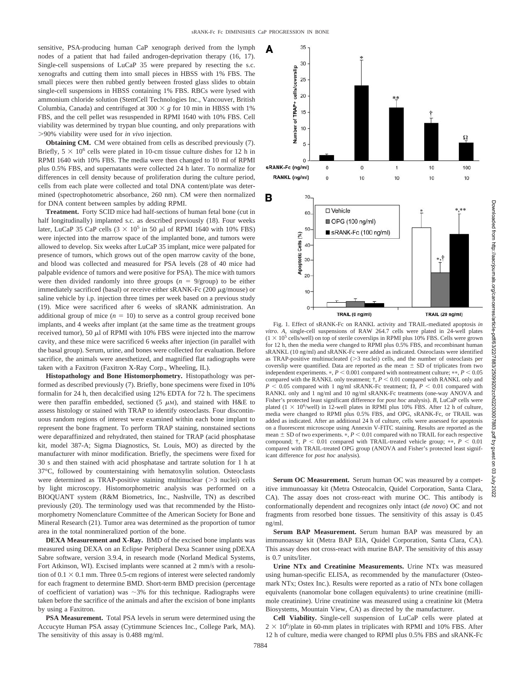A

35

sensitive, PSA-producing human CaP xenograph derived from the lymph nodes of a patient that had failed androgen-deprivation therapy (16, 17). Single-cell suspensions of LuCaP 35 were prepared by resecting the s.c. xenografts and cutting them into small pieces in HBSS with 1% FBS. The small pieces were then rubbed gently between frosted glass slides to obtain single-cell suspensions in HBSS containing 1% FBS. RBCs were lysed with ammonium chloride solution (StemCell Technologies Inc., Vancouver, British Columbia, Canada) and centrifuged at  $300 \times g$  for 10 min in HBSS with 1% FBS, and the cell pellet was resuspended in RPMI 1640 with 10% FBS. Cell viability was determined by trypan blue counting, and only preparations with -90% viability were used for *in vivo* injection.

**Obtaining CM.** CM were obtained from cells as described previously (7). Briefly,  $5 \times 10^6$  cells were plated in 10-cm tissue culture dishes for 12 h in RPMI 1640 with 10% FBS. The media were then changed to 10 ml of RPMI plus 0.5% FBS, and supernatants were collected 24 h later. To normalize for differences in cell density because of proliferation during the culture period, cells from each plate were collected and total DNA content/plate was determined (spectrophotometric absorbance, 260 nm). CM were then normalized for DNA content between samples by adding RPMI.

**Treatment.** Forty SCID mice had half-sections of human fetal bone (cut in half longitudinally) implanted s.c. as described previously (18). Four weeks later, LuCaP 35 CaP cells  $(3 \times 10^5 \text{ in } 50 \mu l)$  of RPMI 1640 with 10% FBS) were injected into the marrow space of the implanted bone, and tumors were allowed to develop. Six weeks after LuCaP 35 implant, mice were palpated for presence of tumors, which grows out of the open marrow cavity of the bone, and blood was collected and measured for PSA levels (28 of 40 mice had palpable evidence of tumors and were positive for PSA). The mice with tumors were then divided randomly into three groups  $(n = 9/\text{group})$  to be either immediately sacrificed (basal) or receive either sRANK-Fc  $(200 \ \mu g/mouse)$  or saline vehicle by i.p. injection three times per week based on a previous study (19). Mice were sacrificed after 6 weeks of sRANK administration. An additional group of mice  $(n = 10)$  to serve as a control group received bone implants, and 4 weeks after implant (at the same time as the treatment groups received tumor), 50  $\mu$ l of RPMI with 10% FBS were injected into the marrow cavity, and these mice were sacrificed 6 weeks after injection (in parallel with the basal group). Serum, urine, and bones were collected for evaluation. Before sacrifice, the animals were anesthetized, and magnified flat radiographs were taken with a Faxitron (Faxitron X-Ray Corp., Wheeling, IL).

**Histopathology and Bone Histomorphometry.** Histopathology was performed as described previously (7). Briefly, bone specimens were fixed in 10% formalin for 24 h, then decalcified using 12% EDTA for 72 h. The specimens were then paraffin embedded, sectioned  $(5 \mu M)$ , and stained with H&E to assess histology or stained with TRAP to identify osteoclasts. Four discontinuous random regions of interest were examined within each bone implant to represent the bone fragment. To perform TRAP staining, nonstained sections were deparaffinized and rehydrated, then stained for TRAP (acid phosphatase kit, model 387-A; Sigma Diagnostics, St. Louis, MO) as directed by the manufacturer with minor modification. Briefly, the specimens were fixed for 30 s and then stained with acid phosphatase and tartrate solution for 1 h at 37°C, followed by counterstaining with hematoxylin solution. Osteoclasts were determined as TRAP-positive staining multinuclear  $($ >3 nuclei) cells by light microscopy. Histomorphometric analysis was performed on a BIOQUANT system (R&M Biometrics, Inc., Nashville, TN) as described previously (20). The terminology used was that recommended by the Histomorphometry Nomenclature Committee of the American Society for Bone and Mineral Research (21). Tumor area was determined as the proportion of tumor area in the total nonmineralized portion of the bone.

**DEXA Measurement and X-Ray.** BMD of the excised bone implants was measured using DEXA on an Eclipse Peripheral Dexa Scanner using pDEXA Sabre software, version 3.9.4, in research mode (Norland Medical Systems, Fort Atkinson, WI). Excised implants were scanned at 2 mm/s with a resolution of  $0.1 \times 0.1$  mm. Three 0.5-cm regions of interest were selected randomly for each fragment to determine BMD. Short-term BMD precision (percentage of coefficient of variation) was  $\sim$ 3% for this technique. Radiographs were taken before the sacrifice of the animals and after the excision of bone implants by using a Faxitron.

**PSA Measurement.** Total PSA levels in serum were determined using the Accucyte Human PSA assay (Cytimmune Sciences Inc., College Park, MA). The sensitivity of this assay is 0.488 mg/ml.



Fig. 1. Effect of sRANK-Fc on RANKL activity and TRAIL-mediated apoptosis *in vitro*. *A*, single-cell suspensions of RAW 264.7 cells were plated in 24-well plates  $(1 \times 10^5 \text{ cells/well})$  on top of sterile coverslips in RPMI plus 10% FBS. Cells were grown for 12 h, then the media were changed to RPMI plus 0.5% FBS, and recombinant human sRANKL (10 ng/ml) and sRANK-Fc were added as indicated. Osteoclasts were identified as TRAP-positive multinucleated  $(>\frac{3}{2}$  nuclei) cells, and the number of osteoclasts per coverslip were quantified. Data are reported as the mean  $\pm$  SD of triplicates from two independent experiments.  $\ast$ ,  $P \le 0.001$  compared with nontreatment culture;  $\ast \ast$ ,  $P \le 0.05$ compared with the RANKL only treatment;  $\dot{\tau}$ ,  $P < 0.01$  compared with RANKL only and  $P < 0.05$  compared with 1 ng/ml sRANK-Fc treatment;  $\Omega$ ,  $P < 0.01$  compared with RANKL only and 1 ng/ml and 10 ng/ml sRANK-Fc treatments (one-way ANOVA and Fisher's protected least significant difference for *post hoc* analysis). *B*, LuCaP cells were plated  $(1 \times 10^6$ /well) in 12-well plates in RPMI plus 10% FBS. After 12 h of culture, media were changed to RPMI plus 0.5% FBS, and OPG, sRANK-Fc, or TRAIL was added as indicated. After an additional 24 h of culture, cells were assessed for apoptosis on a fluorescent microscope using Annexin V-FITC staining. Results are reported as the mean  $\pm$  SD of two experiments.  $*$ ,  $P$  < 0.01 compared with no TRAIL for each respective compound;  $\dagger$ ,  $P < 0.01$  compared with TRAIL-treated vehicle group; \*\*,  $P < 0.01$ compared with TRAIL-treated OPG group (ANOVA and Fisher's protected least significant difference for *post hoc* analysis).

**Serum OC Measurement.** Serum human OC was measured by a competitive immunoassay kit (Metra Osteocalcin, Quidel Corporation, Santa Clara, CA). The assay does not cross-react with murine OC. This antibody is conformationally dependent and recognizes only intact (*de novo*) OC and not fragments from resorbed bone tissues. The sensitivity of this assay is 0.45 ng/ml.

**Serum BAP Measurement.** Serum human BAP was measured by an immunoassay kit (Metra BAP EIA, Quidel Corporation, Santa Clara, CA). This assay does not cross-react with murine BAP. The sensitivity of this assay is 0.7 units/liter.

**Urine NTx and Creatinine Measurements.** Urine NTx was measured using human-specific ELISA, as recommended by the manufacturer (Osteomark NTx; Ostex Inc.). Results were reported as a ratio of NTx bone collagen equivalents (nanomolar bone collagen equivalents) to urine creatinine (millimole creatinine). Urine creatinine was measured using a creatinine kit (Metra Biosystems, Mountain View, CA) as directed by the manufacturer.

**Cell Viability.** Single-cell suspension of LuCaP cells were plated at  $2 \times 10^6$ /plate in 60-mm plates in triplicates with RPMI and 10% FBS. After 12 h of culture, media were changed to RPMI plus 0.5% FBS and sRANK-Fc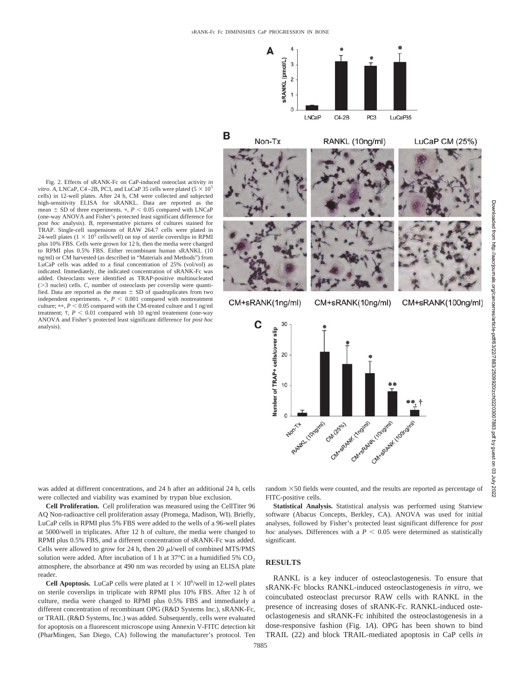

Fig. 2. Effects of sRANK-Fc on CaP-induced osteoclast activity *in vitro*. A, LNCaP, C4–2B, PC3, and LuCaP 35 cells were plated ( $5 \times 10^5$ ) cells) in 12-well plates. After 24 h, CM were collected and subjected high-sensitivity ELISA for sRANKL. Data are reported as the mean  $\pm$  SD of three experiments.  $\ast$ ,  $P$  < 0.05 compared with LNCaP (one-way ANOVA and Fisher's protected least significant difference for *post hoc* analysis). *B*, representative pictures of cultures stained for TRAP. Single-cell suspensions of RAW 264.7 cells were plated in 24-well plates ( $1 \times 10^5$  cells/well) on top of sterile coverslips in RPMI plus 10% FBS. Cells were grown for 12 h, then the media were changed to RPMI plus 0.5% FBS. Either recombinant human sRANKL (10 ng/ml) or CM harvested (as described in "Materials and Methods") from LuCaP cells was added to a final concentration of 25% (vol/vol) as indicated. Immediately, the indicated concentration of sRANK-Fc was added. Osteoclasts were identified as TRAP-positive multinucleated ( $>$ 3 nuclei) cells. *C*, number of osteoclasts per coverslip were quantified. Data are reported as the mean  $\pm$  SD of quadruplicates from two independent experiments.  $P < 0.001$  compared with nontreatment culture;  $**$ ,  $P < 0.05$  compared with the CM-treated culture and 1 ng/ml treatment;  $\dagger$ ,  $P < 0.01$  compared with 10 ng/ml treatement (one-way ANOVA and Fisher's protected least significant difference for *post hoc* analysis).

was added at different concentrations, and 24 h after an additional 24 h, cells were collected and viability was examined by trypan blue exclusion.

**Cell Proliferation.** Cell proliferation was measured using the CellTiter 96 AQ Non-radioactive cell proliferation assay (Promega, Madison, WI). Briefly, LuCaP cells in RPMI plus 5% FBS were added to the wells of a 96-well plates at 5000/well in triplicates. After 12 h of culture, the media were changed to RPMI plus 0.5% FBS, and a different concentration of sRANK-Fc was added. Cells were allowed to grow for 24 h, then 20  $\mu$ l/well of combined MTS/PMS solution were added. After incubation of 1 h at  $37^{\circ}$ C in a humidified 5% CO<sub>2</sub> atmosphere, the absorbance at 490 nm was recorded by using an ELISA plate reader.

**Cell Apoptosis.** LuCaP cells were plated at  $1 \times 10^6$ /well in 12-well plates on sterile coverslips in triplicate with RPMI plus 10% FBS. After 12 h of culture, media were changed to RPMI plus 0.5% FBS and immediately a different concentration of recombinant OPG (R&D Systems Inc.), sRANK-Fc, or TRAIL (R&D Systems, Inc.) was added. Subsequently, cells were evaluated for apoptosis on a fluorescent microscope using Annexin V-FITC detection kit (PharMingen, San Diego, CA) following the manufacturer's protocol. Ten random  $\times$  50 fields were counted, and the results are reported as percentage of FITC-positive cells.

**Statistical Analysis.** Statistical analysis was performed using Statview software (Abacus Concepts, Berkley, CA). ANOVA was used for initial analyses, followed by Fisher's protected least significant difference for *post hoc* analyses. Differences with a  $P < 0.05$  were determined as statistically significant.

#### **RESULTS**

RANKL is a key inducer of osteoclastogenesis. To ensure that sRANK-Fc blocks RANKL-induced osteoclastogenesis *in vitro*, we coincubated osteoclast precursor RAW cells with RANKL in the presence of increasing doses of sRANK-Fc. RANKL-induced osteoclastogenesis and sRANK-Fc inhibited the osteoclastogenesis in a dose-responsive fashion (Fig. 1*A*). OPG has been shown to bind TRAIL (22) and block TRAIL-mediated apoptosis in CaP cells *in*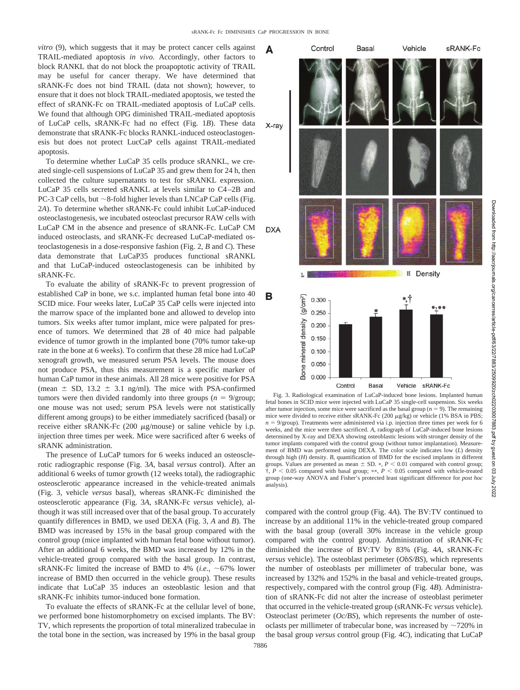*vitro* (9), which suggests that it may be protect cancer cells against TRAIL-mediated apoptosis *in vivo*. Accordingly, other factors to block RANKL that do not block the proapoptotic activity of TRAIL may be useful for cancer therapy. We have determined that sRANK-Fc does not bind TRAIL (data not shown); however, to ensure that it does not block TRAIL-mediated apoptosis, we tested the effect of sRANK-Fc on TRAIL-mediated apoptosis of LuCaP cells. We found that although OPG diminished TRAIL-mediated apoptosis of LuCaP cells, sRANK-Fc had no effect (Fig. 1*B*). These data demonstrate that sRANK-Fc blocks RANKL-induced osteoclastogenesis but does not protect LucCaP cells against TRAIL-mediated apoptosis.

To determine whether LuCaP 35 cells produce sRANKL, we created single-cell suspensions of LuCaP 35 and grew them for 24 h, then collected the culture supernatants to test for sRANKL expression. LuCaP 35 cells secreted sRANKL at levels similar to C4–2B and PC-3 CaP cells, but  $\sim$  8-fold higher levels than LNCaP CaP cells (Fig. 2*A*). To determine whether sRANK-Fc could inhibit LuCaP-induced osteoclastogenesis, we incubated osteoclast precursor RAW cells with LuCaP CM in the absence and presence of sRANK-Fc. LuCaP CM induced osteoclasts, and sRANK-Fc decreased LuCaP-mediated osteoclastogenesis in a dose-responsive fashion (Fig. 2, *B* and *C*). These data demonstrate that LuCaP35 produces functional sRANKL and that LuCaP-induced osteoclastogenesis can be inhibited by sRANK-Fc.

To evaluate the ability of sRANK-Fc to prevent progression of established CaP in bone, we s.c. implanted human fetal bone into 40 SCID mice. Four weeks later, LuCaP 35 CaP cells were injected into the marrow space of the implanted bone and allowed to develop into tumors. Six weeks after tumor implant, mice were palpated for presence of tumors. We determined that 28 of 40 mice had palpable evidence of tumor growth in the implanted bone (70% tumor take-up rate in the bone at 6 weeks). To confirm that these 28 mice had LuCaP xenograft growth, we measured serum PSA levels. The mouse does not produce PSA, thus this measurement is a specific marker of human CaP tumor in these animals. All 28 mice were positive for PSA (mean  $\pm$  SD, 13.2  $\pm$  3.1 ng/ml). The mice with PSA-confirmed tumors were then divided randomly into three groups  $(n = 9/\text{group})$ ; one mouse was not used; serum PSA levels were not statistically different among groups) to be either immediately sacrificed (basal) or receive either sRANK-Fc  $(200 \mu g/mouse)$  or saline vehicle by i.p. injection three times per week. Mice were sacrificed after 6 weeks of sRANK administration.

The presence of LuCaP tumors for 6 weeks induced an osteosclerotic radiographic response (Fig. 3*A*, basal *versus* control). After an additional 6 weeks of tumor growth (12 weeks total), the radiographic osteosclerotic appearance increased in the vehicle-treated animals (Fig. 3, vehicle *versus* basal), whereas sRANK-Fc diminished the osteosclerotic appearance (Fig. 3*A*, sRANK-Fc *versus* vehicle), although it was still increased over that of the basal group. To accurately quantify differences in BMD, we used DEXA (Fig. 3, *A* and *B*). The BMD was increased by 15% in the basal group compared with the control group (mice implanted with human fetal bone without tumor). After an additional 6 weeks, the BMD was increased by 12% in the vehicle-treated group compared with the basal group. In contrast, sRANK-Fc limited the increase of BMD to 4% (*i.e.*,  $\sim$  67% lower increase of BMD then occurred in the vehicle group). These results indicate that LuCaP 35 induces an osteoblastic lesion and that sRANK-Fc inhibits tumor-induced bone formation.

To evaluate the effects of sRANK-Fc at the cellular level of bone, we performed bone histomorphometry on excised implants. The BV: TV, which represents the proportion of total mineralized trabeculae in the total bone in the section, was increased by 19% in the basal group



Fig. 3. Radiological examination of LuCaP-induced bone lesions. Implanted human fetal bones in SCID mice were injected with LuCaP 35 single-cell suspension. Six weeks after tumor injection, some mice were sacrificed as the basal group ( $n = 9$ ). The remaining mice were divided to receive either sRANK-Fc  $(200 \ \mu g/kg)$  or vehicle  $(1\% BSA$  in PBS;  $n = 9$ /group). Treatments were administered via i.p. injection three times per week for 6 weeks, and the mice were then sacrificed. *A*, radiograph of LuCaP-induced bone lesions determined by X-ray and DEXA showing osteoblastic lesions with stronger density of the tumor implants compared with the control group (without tumor implantation). Measurement of BMD was performed using DEXA. The color scale indicates low (*L*) density through high (*H*) density. *B*, quantification of BMD for the excised implants in different groups. Values are presented as mean  $\pm$  SD.  $\ast$ ,  $P$  < 0.01 compared with control group;  $\dagger$ ,  $P < 0.05$  compared with basal group; \*\*,  $P < 0.05$  compared with vehicle-treated group (one-way ANOVA and Fisher's protected least significant difference for *post hoc* analysis).

compared with the control group (Fig. 4*A*). The BV:TV continued to increase by an additional 11% in the vehicle-treated group compared with the basal group (overall 30% increase in the vehicle group compared with the control group). Administration of sRANK-Fc diminished the increase of BV:TV by 83% (Fig. 4*A*, sRANK-Fc *versus* vehicle). The osteoblast perimeter (*ObS/BS*), which represents the number of osteoblasts per millimeter of trabecular bone, was increased by 132% and 152% in the basal and vehicle-treated groups, respectively, compared with the control group (Fig. 4*B*). Administration of sRANK-Fc did not alter the increase of osteoblast perimeter that occurred in the vehicle-treated group (sRANK-Fc *versus* vehicle). Osteoclast perimeter (*Oc/BS*), which represents the number of osteoclasts per millimeter of trabecular bone, was increased by  $\sim$ 720% in the basal group *versus* control group (Fig. 4*C*), indicating that LuCaP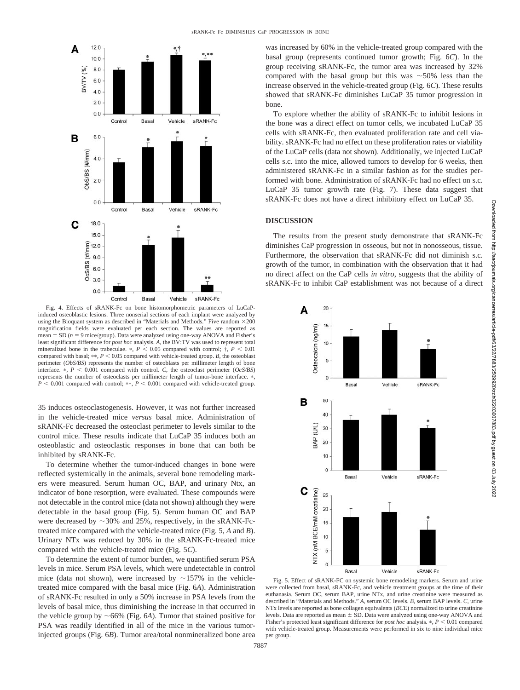

Fig. 4. Effects of sRANK-Fc on bone histomorphometric parameters of LuCaPinduced osteoblastic lesions. Three nonserial sections of each implant were analyzed by using the Bioquant system as described in "Materials and Methods." Five random  $\times 200$ magnification fields were evaluated per each section. The values are reported as mean  $\pm$  SD ( $n = 9$  mice/group). Data were analyzed using one-way ANOVA and Fisher's least significant difference for *post hoc* analysis. *A*, the BV:TV was used to represent total mineralized bone in the trabeculae.  $*, P < 0.05$  compared with control;  $\dagger, P < 0.01$ compared with basal;  $**$ ,  $P < 0.05$  compared with vehicle-treated group. *B*, the osteoblast perimeter (*ObS/BS*) represents the number of osteoblasts per millimeter length of bone interface.  $\ast$ ,  $P < 0.001$  compared with control. *C*, the osteoclast perimeter (*OcS/BS*) represents the number of osteoclasts per millimeter length of tumor-bone interface.  $\ast$ ,  $P < 0.001$  compared with control; \*\*,  $P < 0.001$  compared with vehicle-treated group.

35 induces osteoclastogenesis. However, it was not further increased in the vehicle-treated mice *versus* basal mice. Administration of sRANK-Fc decreased the osteoclast perimeter to levels similar to the control mice. These results indicate that LuCaP 35 induces both an osteoblastic and osteoclastic responses in bone that can both be inhibited by sRANK-Fc.

To determine whether the tumor-induced changes in bone were reflected systemically in the animals, several bone remodeling markers were measured. Serum human OC, BAP, and urinary Ntx, an indicator of bone resorption, were evaluated. These compounds were not detectable in the control mice (data not shown) although they were detectable in the basal group (Fig. 5). Serum human OC and BAP were decreased by  $\sim$ 30% and 25%, respectively, in the sRANK-Fctreated mice compared with the vehicle-treated mice (Fig. 5, *A* and *B*). Urinary NTx was reduced by 30% in the sRANK-Fc-treated mice compared with the vehicle-treated mice (Fig. 5*C*).

To determine the extent of tumor burden, we quantified serum PSA levels in mice. Serum PSA levels, which were undetectable in control mice (data not shown), were increased by  $\sim$ 157% in the vehicletreated mice compared with the basal mice (Fig. 6*A*). Administration of sRANK-Fc resulted in only a 50% increase in PSA levels from the levels of basal mice, thus diminishing the increase in that occurred in the vehicle group by  $\sim 66\%$  (Fig. 6*A*). Tumor that stained positive for PSA was readily identified in all of the mice in the various tumorinjected groups (Fig. 6*B*). Tumor area/total nonmineralized bone area was increased by 60% in the vehicle-treated group compared with the basal group (represents continued tumor growth; Fig. 6*C*). In the group receiving sRANK-Fc, the tumor area was increased by 32% compared with the basal group but this was  $\sim$  50% less than the increase observed in the vehicle-treated group (Fig. 6*C*). These results showed that sRANK-Fc diminishes LuCaP 35 tumor progression in bone.

To explore whether the ability of sRANK-Fc to inhibit lesions in the bone was a direct effect on tumor cells, we incubated LuCaP 35 cells with sRANK-Fc, then evaluated proliferation rate and cell viability. sRANK-Fc had no effect on these proliferation rates or viability of the LuCaP cells (data not shown). Additionally, we injected LuCaP cells s.c. into the mice, allowed tumors to develop for 6 weeks, then administered sRANK-Fc in a similar fashion as for the studies performed with bone. Administration of sRANK-Fc had no effect on s.c. LuCaP 35 tumor growth rate (Fig. 7). These data suggest that sRANK-Fc does not have a direct inhibitory effect on LuCaP 35.

## **DISCUSSION**

The results from the present study demonstrate that sRANK-Fc diminishes CaP progression in osseous, but not in nonosseous, tissue. Furthermore, the observation that sRANK-Fc did not diminish s.c. growth of the tumor, in combination with the observation that it had no direct affect on the CaP cells *in vitro*, suggests that the ability of sRANK-Fc to inhibit CaP establishment was not because of a direct



Fig. 5. Effect of sRANK-FC on systemic bone remodeling markers. Serum and urine were collected from basal, sRANK-Fc, and vehicle treatment groups at the time of their euthanasia. Serum OC, serum BAP, urine NTx, and urine creatinine were measured as described in "Materials and Methods." *A*, serum OC levels. *B*, serum BAP levels. *C*, urine NTx levels are reported as bone collagen equivalents (*BCE*) normalized to urine creatinine levels. Data are reported as mean  $\pm$  SD. Data were analyzed using one-way ANOVA and Fisher's protected least significant difference for *post hoc* analysis.  $P < 0.01$  compared with vehicle-treated group. Measurements were performed in six to nine individual mice per group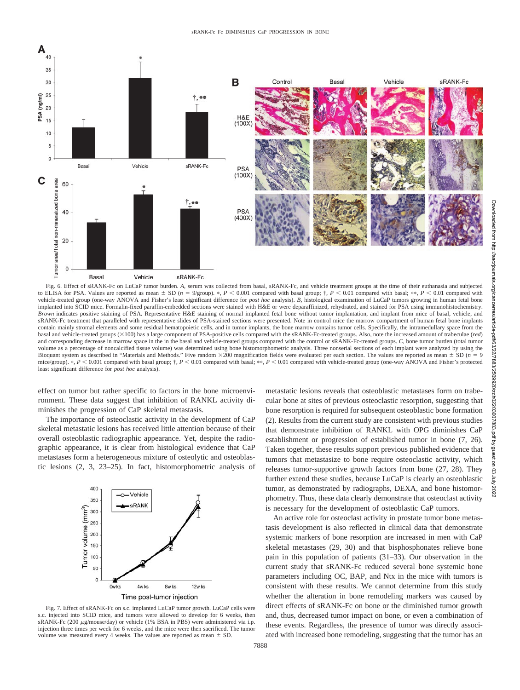

to ELISA for PSA. Values are reported as mean  $\pm$  SD ( $n = 9$ /group). \*,  $P < 0.001$  compared with basal group;  $\dagger$ ,  $P < 0.01$  compared with basal; \*\*,  $P < 0.01$  compared with vehicle-treated group (one-way ANOVA and Fisher's least significant difference for *post hoc* analysis). *B*, histological examination of LuCaP tumors growing in human fetal bone implanted into SCID mice. Formalin-fixed paraffin-embedded sections were stained with H&E or were deparaffinized, rehydrated, and stained for PSA using immunohistochemistry. *Brown* indicates positive staining of PSA. Representative H&E staining of normal implanted fetal bone without tumor implantation, and implant from mice of basal, vehicle, and sRANK-Fc treatment that paralleled with representative slides of PSA-stained sections were presented. Note in control mice the marrow compartment of human fetal bone implants contain mainly stromal elements and some residual hematopoietic cells, and in tumor implants, the bone marrow contains tumor cells. Specifically, the intramedullary space from the basal and vehicle-treated groups (100) has a large component of PSA-positive cells compared with the sRANK-Fc-treated groups. Also, note the increased amount of trabeculae (*red*) and corresponding decrease in marrow space in the in the basal and vehicle-treated groups compared with the control or sRANK-Fc-treated groups. *C*, bone tumor burden (total tumor volume as a percentage of noncalcified tissue volume) was determined using bone histomorphometric analysis. Three nonserial sections of each implant were analyzed by using the Bioquant system as described in "Materials and Methods." Five random  $\times$ 200 magnification fields were evaluated per each section. The values are reported as mean  $\pm$  SD (*n* = 9 mice/group). \*,  $P < 0.001$  compared with basal group;  $\dagger$ ,  $P < 0.01$  compared with basal; \*\*,  $P < 0.01$  compared with vehicle-treated group (one-way ANOVA and Fisher's protected least significant difference for *post hoc* analysis).

effect on tumor but rather specific to factors in the bone microenvironment. These data suggest that inhibition of RANKL activity diminishes the progression of CaP skeletal metastasis.

The importance of osteoclastic activity in the development of CaP skeletal metastatic lesions has received little attention because of their overall osteoblastic radiographic appearance. Yet, despite the radiographic appearance, it is clear from histological evidence that CaP metastases form a heterogeneous mixture of osteolytic and osteoblastic lesions (2, 3, 23–25). In fact, histomorphometric analysis of



Fig. 7. Effect of sRANK-Fc on s.c. implanted LuCaP tumor growth. LuCaP cells were s.c. injected into SCID mice, and tumors were allowed to develop for 6 weeks, then sRANK-Fc (200 µg/mouse/day) or vehicle (1% BSA in PBS) were administered via i.p. injection three times per week for 6 weeks, and the mice were then sacrificed. The tumor volume was measured every 4 weeks. The values are reported as mean  $\pm$  SD.

metastatic lesions reveals that osteoblastic metastases form on trabecular bone at sites of previous osteoclastic resorption, suggesting that bone resorption is required for subsequent osteoblastic bone formation (2). Results from the current study are consistent with previous studies that demonstrate inhibition of RANKL with OPG diminishes CaP establishment or progression of established tumor in bone (7, 26). Taken together, these results support previous published evidence that tumors that metastasize to bone require osteoclastic activity, which releases tumor-supportive growth factors from bone (27, 28). They further extend these studies, because LuCaP is clearly an osteoblastic tumor, as demonstrated by radiographs, DEXA, and bone histomorphometry. Thus, these data clearly demonstrate that osteoclast activity is necessary for the development of osteoblastic CaP tumors.

An active role for osteoclast activity in prostate tumor bone metastasis development is also reflected in clinical data that demonstrate systemic markers of bone resorption are increased in men with CaP skeletal metastases (29, 30) and that bisphosphonates relieve bone pain in this population of patients (31–33). Our observation in the current study that sRANK-Fc reduced several bone systemic bone parameters including OC, BAP, and Ntx in the mice with tumors is consistent with these results. We cannot determine from this study whether the alteration in bone remodeling markers was caused by direct effects of sRANK-Fc on bone or the diminished tumor growth and, thus, decreased tumor impact on bone, or even a combination of these events. Regardless, the presence of tumor was directly associated with increased bone remodeling, suggesting that the tumor has an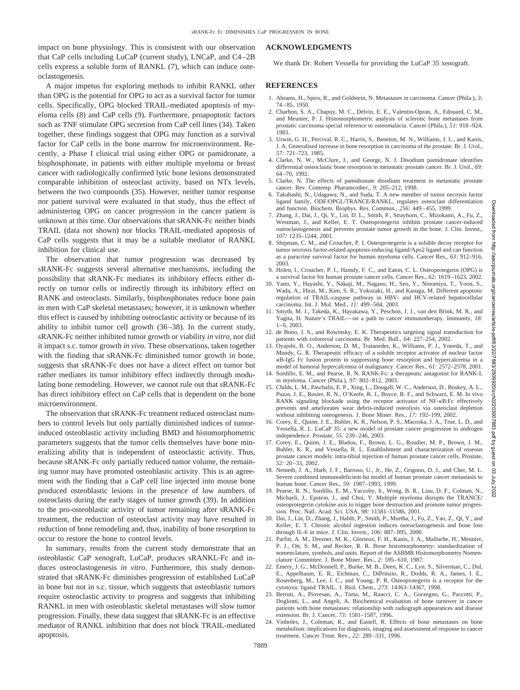impact on bone physiology. This is consistent with our observation that CaP cells including LuCaP (current study), LNCaP, and C4–2B cells express a soluble form of RANKL (7), which can induce osteoclastogenesis.

A major impetus for exploring methods to inhibit RANKL other than OPG is the potential for OPG to act as a survival factor for tumor cells. Specifically, OPG blocked TRAIL-mediated apoptosis of myeloma cells (8) and CaP cells (9). Furthermore, proapoptotic factors such as TNF stimulate OPG secretion from CaP cell lines (34). Taken together, these findings suggest that OPG may function as a survival factor for CaP cells in the bone marrow for microenvironment. Recently, a Phase I clinical trial using either OPG or pamidronate, a bisphosphonate, in patients with either multiple myeloma or breast cancer with radiologically confirmed lytic bone lesions demonstrated comparable inhibition of osteoclast activity, based on NTx levels, between the two compounds (35). However, neither tumor response nor patient survival were evaluated in that study, thus the effect of administering OPG on cancer progression in the cancer patient is unknown at this time. Our observations that sRANK-Fc neither binds TRAIL (data not shown) nor blocks TRAIL-mediated apoptosis of CaP cells suggests that it may be a suitable mediator of RANKL inhibition for clinical use.

The observation that tumor progression was decreased by sRANK-Fc suggests several alternative mechanisms, including the possibility that sRANK-Fc mediates its inhibitory effects either directly on tumor cells or indirectly through its inhibitory effect on RANK and osteoclasts. Similarly, bisphosphonates reduce bone pain in men with CaP skeletal metastases; however, it is unknown whether this effect is caused by inhibiting osteoclastic activity or because of its ability to inhibit tumor cell growth (36–38). In the current study, sRANK-Fc neither inhibited tumor growth or viability *in vitro*, nor did it impact s.c. tumor growth *in vivo*. These observations, taken together with the finding that sRANK-Fc diminished tumor growth in bone, suggests that sRANK-Fc does not have a direct effect on tumor but rather mediates its tumor inhibitory effect indirectly through modulating bone remodeling. However, we cannot rule out that sRANK-Fc has direct inhibitory effect on CaP cells that is dependent on the bone microenvironment.

The observation that sRANK-Fc treatment reduced osteoclast numbers to control levels but only partially diminished indices of tumorinduced osteoblastic activity including BMD and histomorphometric parameters suggests that the tumor cells themselves have bone mineralizing ability that is independent of osteoclastic activity. Thus, because sRANK-Fc only partially reduced tumor volume, the remaining tumor may have promoted osteoblastic activity. This is an agreement with the finding that a CaP cell line injected into mouse bone produced osteoblastic lesions in the presence of low numbers of osteoclasts during the early stages of tumor growth (39). In addition to the pro-osteoblastic activity of tumor remaining after sRANK-Fc treatment, the reduction of osteoclast activity may have resulted in reduction of bone remodeling and, thus, inability of bone resorption to occur to restore the bone to control levels.

In summary, results from the current study demonstrate that an osteoblastic CaP xenograft, LuCaP, produces sRANKL-Fc and induces osteoclastogenesis *in vitro*. Furthermore, this study demonstrated that sRANK-Fc diminishes progression of established LuCaP in bone but not in s.c. tissue, which suggests that osteoblastic tumors require osteoclastic activity to progress and suggests that inhibiting RANKL in men with osteoblastic skeletal metastases will slow tumor progression. Finally, these data suggest that sRANK-Fc is an effective mediator of RANKL inhibition that does not block TRAIL-mediated apoptosis.

#### **ACKNOWLEDGMENTS**

We thank Dr. Robert Vessella for providing the LuCaP 35 xenograft.

#### **REFERENCES**

- 1. Abrams, H., Spiro, R., and Goldstein, N. Metastases in carcinoma. Cancer (Phila.), *3:* 74–85, 1950.
- 2. Charhon, S. A., Chapuy, M. C., Delvin, E. E., Valentin-Opran, A., Edouard, C. M., and Meunier, P. J. Histomorphometric analysis of sclerotic bone metastases from prostatic carcinoma special reference to osteomalacia. Cancer (Phila.), *51:* 918–924, 1983.
- 3. Urwin, G. H., Percival, R. C., Harris, S., Beneton, M. N., Williams, J. L., and Kanis, J. A. Generalised increase in bone resorption in carcinoma of the prostate. Br. J. Urol., *57:* 721–723, 1985.
- 4. Clarke, N. W., McClure, J., and George, N. J. Disodium pamidronate identifies differential osteoclastic bone resorption in metastatic prostate cancer. Br. J. Urol., *69:* 64–70, 1992.
- 5. Clarke, N. The effects of pamidronate disodium treatment in metastatic prostate cancer. Rev. Contemp. Pharamcother., *9:* 205–212, 1998.
- 6. Takahashi, N., Udagawa, N., and Suda, T. A new member of tumor necrosis factor ligand family, ODF/OPGL/TRANCE/RANKL, regulates osteoclast differentiation and function. Biochem. Biophys. Res. Commun., *256:* 449–455, 1999.
- 7. Zhang, J., Dai, J., Qi, Y., Lin, D. L., Smith, P., Strayhorn, C., Mizokami, A., Fu, Z., Westman, J., and Keller, E. T. Osteoprotegerin inhibits prostate cancer-induced osteoclastogenesis and prevents prostate tumor growth in the bone. J. Clin. Invest., *107:* 1235–1244, 2001.
- 8. Shipman, C. M., and Croucher, P. I. Osteoprotegerin is a soluble decoy receptor for tumor necrosis factor-related apoptosis-inducing ligand/Apo2 ligand and can function as a paracrine survival factor for human myeloma cells. Cancer Res., *63:* 912–916, 2003.
- 9. Holen, I., Croucher, P. I., Hamdy, F. C., and Eaton, C. L. Osteoprotegerin (OPG) is a survival factor for human prostate cancer cells. Cancer Res., *62:* 1619–1623, 2002.
- 10. Yano, Y., Hayashi, Y., Nakaji, M., Nagano, H., Seo, Y., Ninomiya, T., Yoon, S., Wada, A., Hirai, M., Kim, S. R., Yokozaki, H., and Kasuga, M. Different apoptotic regulation of TRAIL-caspase pathway in HBV- and HCV-related hepatocellular carcinoma. Int. J. Mol. Med., *11:* 499–504, 2003.
- 11. Smyth, M. J., Takeda, K., Hayakawa, Y., Peschon, J. J., van den Brink, M. R., and Yagita, H. Nature's TRAIL—on a path to cancer immunotherapy. Immunity, *18:* 1–6, 2003.
- 12. de Bono, J. S., and Rowinsky, E. K. Therapeutics targeting signal transduction for patients with colorectal carcinoma. Br. Med. Bull., *64:* 227–254, 2002.
- 13. Oyajobi, B. O., Anderson, D. M., Traianedes, K., Williams, P. J., Yoneda, T., and Mundy, G. R. Therapeutic efficacy of a soluble receptor activator of nuclear factor B-IgG Fc fusion protein in suppressing bone resorption and hypercalcemia in a model of humoral hypercalcemia of malignancy. Cancer Res., *61:* 2572–2578, 2001.
- 14. Sordillo, E. M., and Pearse, R. N. RANK-Fc: a therapeutic antagonist for RANK-L in myeloma. Cancer (Phila.), *97:* 802–812, 2003.
- 15. Childs, L. M., Paschalis, E. P., Xing, L., Dougall, W. C., Anderson, D., Boskey, A. L., Puzas, J. E., Rosier, R. N., O'Keefe, R. J., Boyce, B. F., and Schwarz, E. M. In vivo RANK signaling blockade using the receptor activator of NF-KB:Fc effectively prevents and ameliorates wear debris-induced osteolysis via osteoclast depletion without inhibiting osteogenesis. J. Bone Miner. Res., *17:* 192–199, 2002.
- 16. Corey, E., Quinn, J. E., Buhler, K. R., Nelson, P. S., Macoska, J. A., True, L. D., and Vessella, R. L. LuCaP 35: a new model of prostate cancer progression to androgen independence. Prostate, *55:* 239–246, 2003.
- 17. Corey, E., Quinn, J. E., Bladou, F., Brown, L. G., Roudier, M. P., Brown, J. M., Buhler, K. R., and Vessella, R. L. Establishment and characterization of osseous prostate cancer models: intra-tibial injection of human prostate cancer cells. Prostate, *52:* 20–33, 2002.
- 18. Nemeth, J. A., Harb, J. F., Barroso, U., Jr., He, Z., Grignon, D. J., and Cher, M. L. Severe combined immunodeficient-hu model of human prostate cancer metastasis to human bone. Cancer Res., *59:* 1987–1993, 1999.
- 19. Pearse, R. N., Sordillo, E. M., Yaccoby, S., Wong, B. R., Liau, D. F., Colman, N., Michaeli, J., Epstein, J., and Choi, Y. Multiple myeloma disrupts the TRANCE/ osteoprotegerin cytokine axis to trigger bone destruction and promote tumor progression. Proc. Natl. Acad. Sci. USA, *98:* 11581–11586, 2001.
- 20. Dai, J., Lin, D., Zhang, J., Habib, P., Smith, P., Murtha, J., Fu, Z., Yao, Z., Qi, Y., and Keller, E. T. Chronic alcohol ingestion induces osteoclastogenesis and bone loss through IL-6 in mice. J. Clin. Invest., *106:* 887–895, 2000.
- 21. Parfitt, A. M., Drezner, M. K., Glorieux, F. H., Kanis, J. A., Malluche, H., Meunier, P. J., Ott, S. M., and Recker, R. R. Bone histomorphometry: standardization of nomenclature, symbols, and units. Report of the ASBMR Histomorphometry Nomenclature Committee. J. Bone Miner. Res., *2:* 595–610, 1987.
- 22. Emery, J. G., McDonnell, P., Burke, M. B., Deen, K. C., Lyn, S., Silverman, C., Dul, E., Appelbaum, E. R., Eichman, C., DiPrinzio, R., Dodds, R. A., James, I. E., Rosenberg, M., Lee, J. C., and Young, P. R. Osteoprotegerin is a receptor for the cytotoxic ligand TRAIL. J. Biol. Chem., *273:* 14363–14367, 1998.
- 23. Berruti, A., Piovesan, A., Torta, M., Raucci, C. A., Gorzegno, G., Paccotti, P., Dogliotti, L., and Angeli, A. Biochemical evaluation of bone turnover in cancer patients with bone metastases: relationship with radiograph appearances and disease extension. Br. J. Cancer, *73:* 1581–1587, 1996.
- 24. Vinholes, J., Coleman, R., and Eastell, R. Effects of bone metastases on bone metabolism: implications for diagnosis, imaging and assessment of response to cancer treatment. Cancer Treat. Rev., *22:* 289–331, 1996.